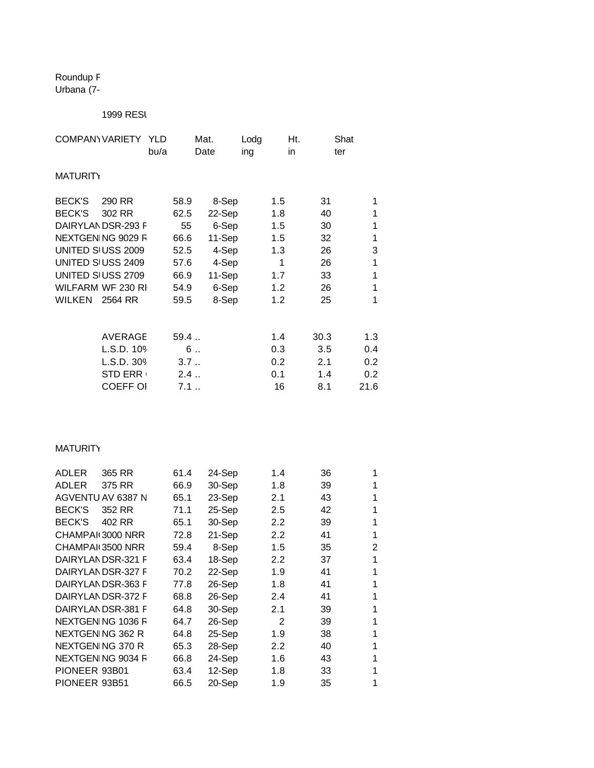Roundup F Urbana<sup>(7-</sup>

## 1999 RESI

| COMPANY VARIETY YLD |                    |      |      | Mat.   | Lodg |     | Ht.  | Shat |
|---------------------|--------------------|------|------|--------|------|-----|------|------|
|                     |                    | bu/a |      | Date   | ing  | in  |      | ter  |
| MATURITY            |                    |      |      |        |      |     |      |      |
|                     |                    |      |      |        |      |     |      |      |
| BECK'S              | 290 RR             |      | 58.9 | 8-Sep  |      | 1.5 | 31   | 1    |
| <b>BECK'S</b>       | 302 RR             |      | 62.5 | 22-Sep |      | 1.8 | 40   | 1    |
|                     | DAIRYLAN DSR-293 F |      | 55   | 6-Sep  |      | 1.5 | 30   | 1    |
|                     | NEXTGEN NG 9029 F  |      | 66.6 | 11-Sep |      | 1.5 | 32   | 1    |
|                     | UNITED SI USS 2009 |      | 52.5 | 4-Sep  |      | 1.3 | 26   | 3    |
|                     | UNITED SI USS 2409 |      | 57.6 | 4-Sep  |      | 1   | 26   | 1    |
|                     | UNITED SI USS 2709 |      | 66.9 | 11-Sep |      | 1.7 | 33   | 1    |
|                     | WILFARM WF 230 RI  |      | 54.9 | 6-Sep  |      | 1.2 | 26   | 1    |
| WILKEN 2564 RR      |                    |      | 59.5 | 8-Sep  |      | 1.2 | 25   | 1    |
|                     |                    |      |      |        |      |     |      |      |
|                     |                    |      |      |        |      |     |      |      |
|                     | <b>AVERAGE</b>     |      | 59.4 |        |      | 1.4 | 30.3 | 1.3  |
|                     | L.S.D. 109         |      | 6    |        |      | 0.3 | 3.5  | 0.4  |
|                     | L.S.D. 309         |      | 3.7  |        |      | 0.2 | 2.1  | 0.2  |
|                     | <b>STD ERR</b>     |      | 2.4  |        |      | 0.1 | 1.4  | 0.2  |
|                     | <b>COEFF OI</b>    |      | 7.1  |        |      | 16  | 8.1  | 21.6 |
|                     |                    |      |      |        |      |     |      |      |

## **MATURITY**

| ADLER            | 365 RR            | 61.4 | 24-Sep | 1.4            | 36 |   |
|------------------|-------------------|------|--------|----------------|----|---|
| <b>ADLER</b>     | 375 RR            | 66.9 | 30-Sep | 1.8            | 39 |   |
|                  | AGVENTU AV 6387 N | 65.1 | 23-Sep | 2.1            | 43 |   |
| BECK'S           | 352 RR            | 71.1 | 25-Sep | 2.5            | 42 |   |
| BECK'S           | 402 RR            | 65.1 | 30-Sep | 2.2            | 39 | 1 |
| CHAMPAI 3000 NRR |                   | 72.8 | 21-Sep | 2.2            | 41 | 1 |
| CHAMPAI 3500 NRR |                   | 59.4 | 8-Sep  | 1.5            | 35 | 2 |
|                  | DAIRYLANDSR-321 F | 63.4 | 18-Sep | 2.2            | 37 | 1 |
|                  | DAIRYLANDSR-327 F | 70.2 | 22-Sep | 1.9            | 41 |   |
|                  | DAIRYLANDSR-363 F | 77.8 | 26-Sep | 1.8            | 41 |   |
|                  | DAIRYLANDSR-372 F | 68.8 | 26-Sep | 2.4            | 41 |   |
|                  | DAIRYLANDSR-381 F | 64.8 | 30-Sep | 2.1            | 39 |   |
|                  | NEXTGEN NG 1036 F | 64.7 | 26-Sep | $\mathfrak{p}$ | 39 |   |
| NEXTGEN NG 362 R |                   | 64.8 | 25-Sep | 1.9            | 38 |   |
| NEXTGEN NG 370 R |                   | 65.3 | 28-Sep | 2.2            | 40 |   |
|                  | NEXTGEN NG 9034 F | 66.8 | 24-Sep | 1.6            | 43 |   |
| PIONEER 93B01    |                   | 63.4 | 12-Sep | 1.8            | 33 |   |
| PIONEER 93B51    |                   | 66.5 | 20-Sep | 1.9            | 35 |   |